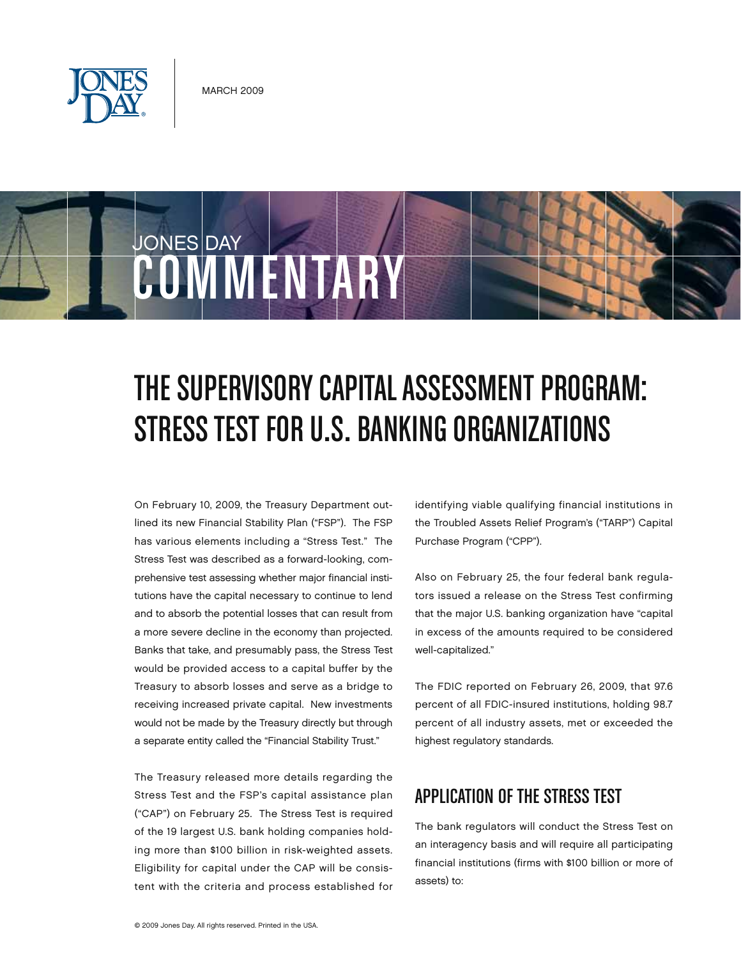

COMMENTARY

JONES DAY

# THE SUPERVISORY CAPITAL ASSESSMENT PROGRAM: STRESS TEST FOR U.S. BANKING ORGANIZATIONS

On February 10, 2009, the Treasury Department outlined its new Financial Stability Plan ("FSP"). The FSP has various elements including a "Stress Test." The Stress Test was described as a forward-looking, comprehensive test assessing whether major financial institutions have the capital necessary to continue to lend and to absorb the potential losses that can result from a more severe decline in the economy than projected. Banks that take, and presumably pass, the Stress Test would be provided access to a capital buffer by the Treasury to absorb losses and serve as a bridge to receiving increased private capital. New investments would not be made by the Treasury directly but through a separate entity called the "Financial Stability Trust."

The Treasury released more details regarding the Stress Test and the FSP's capital assistance plan ("CAP") on February 25. The Stress Test is required of the 19 largest U.S. bank holding companies holding more than \$100 billion in risk-weighted assets. Eligibility for capital under the CAP will be consistent with the criteria and process established for identifying viable qualifying financial institutions in the Troubled Assets Relief Program's ("TARP") Capital Purchase Program ("CPP").

Also on February 25, the four federal bank regulators issued a release on the Stress Test confirming that the major U.S. banking organization have "capital in excess of the amounts required to be considered well-capitalized."

The FDIC reported on February 26, 2009, that 97.6 percent of all FDIC-insured institutions, holding 98.7 percent of all industry assets, met or exceeded the highest regulatory standards.

# APPLICATION OF THE STRESS TEST

The bank regulators will conduct the Stress Test on an interagency basis and will require all participating financial institutions (firms with \$100 billion or more of assets) to: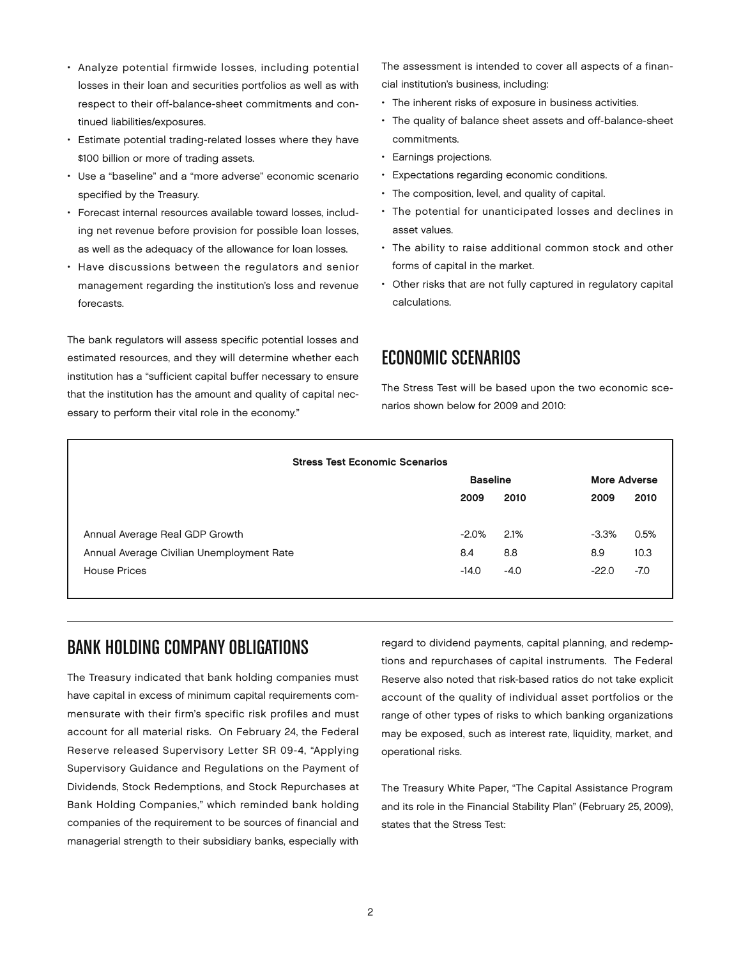- • Analyze potential firmwide losses, including potential losses in their loan and securities portfolios as well as with respect to their off-balance-sheet commitments and continued liabilities/exposures.
- Estimate potential trading-related losses where they have \$100 billion or more of trading assets.
- • Use a "baseline" and a "more adverse" economic scenario specified by the Treasury.
- • Forecast internal resources available toward losses, including net revenue before provision for possible loan losses, as well as the adequacy of the allowance for loan losses.
- • Have discussions between the regulators and senior management regarding the institution's loss and revenue forecasts.

The bank regulators will assess specific potential losses and estimated resources, and they will determine whether each institution has a "sufficient capital buffer necessary to ensure that the institution has the amount and quality of capital necessary to perform their vital role in the economy."

The assessment is intended to cover all aspects of a financial institution's business, including:

- The inherent risks of exposure in business activities.
- The quality of balance sheet assets and off-balance-sheet commitments.
- • Earnings projections.
- • Expectations regarding economic conditions.
- The composition, level, and quality of capital.
- The potential for unanticipated losses and declines in asset values.
- The ability to raise additional common stock and other forms of capital in the market.
- Other risks that are not fully captured in regulatory capital calculations.

## Economic Scenarios

The Stress Test will be based upon the two economic scenarios shown below for 2009 and 2010:

| <b>Stress Test Economic Scenarios</b>     |                 |        |                     |        |
|-------------------------------------------|-----------------|--------|---------------------|--------|
|                                           | <b>Baseline</b> |        | <b>More Adverse</b> |        |
|                                           | 2009            | 2010   | 2009                | 2010   |
|                                           |                 |        |                     |        |
| Annual Average Real GDP Growth            | $-2.0\%$        | 2.1%   | $-3.3%$             | 0.5%   |
| Annual Average Civilian Unemployment Rate | 8.4             | 8.8    | 8.9                 | 10.3   |
| <b>House Prices</b>                       | $-14.0$         | $-4.0$ | $-22.0$             | $-7.0$ |
|                                           |                 |        |                     |        |

#### Bank Holding Company Obligations

The Treasury indicated that bank holding companies must have capital in excess of minimum capital requirements commensurate with their firm's specific risk profiles and must account for all material risks. On February 24, the Federal Reserve released Supervisory Letter SR 09-4, "Applying Supervisory Guidance and Regulations on the Payment of Dividends, Stock Redemptions, and Stock Repurchases at Bank Holding Companies," which reminded bank holding companies of the requirement to be sources of financial and managerial strength to their subsidiary banks, especially with

regard to dividend payments, capital planning, and redemptions and repurchases of capital instruments. The Federal Reserve also noted that risk-based ratios do not take explicit account of the quality of individual asset portfolios or the range of other types of risks to which banking organizations may be exposed, such as interest rate, liquidity, market, and operational risks.

The Treasury White Paper, "The Capital Assistance Program and its role in the Financial Stability Plan" (February 25, 2009), states that the Stress Test: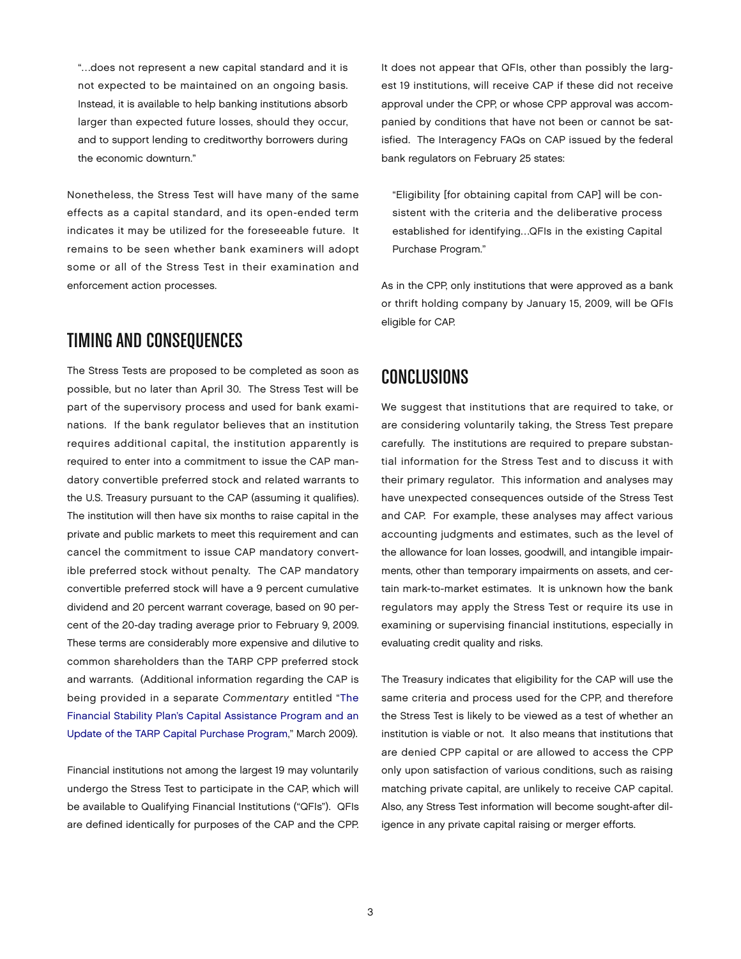"…does not represent a new capital standard and it is not expected to be maintained on an ongoing basis. Instead, it is available to help banking institutions absorb larger than expected future losses, should they occur, and to support lending to creditworthy borrowers during the economic downturn."

Nonetheless, the Stress Test will have many of the same effects as a capital standard, and its open-ended term indicates it may be utilized for the foreseeable future. It remains to be seen whether bank examiners will adopt some or all of the Stress Test in their examination and enforcement action processes.

#### TIMING AND CONSEQUENCES

The Stress Tests are proposed to be completed as soon as possible, but no later than April 30. The Stress Test will be part of the supervisory process and used for bank examinations. If the bank regulator believes that an institution requires additional capital, the institution apparently is required to enter into a commitment to issue the CAP mandatory convertible preferred stock and related warrants to the U.S. Treasury pursuant to the CAP (assuming it qualifies). The institution will then have six months to raise capital in the private and public markets to meet this requirement and can cancel the commitment to issue CAP mandatory convertible preferred stock without penalty. The CAP mandatory convertible preferred stock will have a 9 percent cumulative dividend and 20 percent warrant coverage, based on 90 percent of the 20-day trading average prior to February 9, 2009. These terms are considerably more expensive and dilutive to common shareholders than the TARP CPP preferred stock and warrants. (Additional information regarding the CAP is being provided in a separate *Commentary* entitled ["The](http://www.jonesday.com/pubs/pubs_detail.aspx?pubID=S6000)  [Financial Stability Plan's Capital Assistance Program and an](http://www.jonesday.com/pubs/pubs_detail.aspx?pubID=S6000)  [Update of the TARP Capital Purchase Program,"](http://www.jonesday.com/pubs/pubs_detail.aspx?pubID=S6000) March 2009).

Financial institutions not among the largest 19 may voluntarily undergo the Stress Test to participate in the CAP, which will be available to Qualifying Financial Institutions ("QFIs"). QFIs are defined identically for purposes of the CAP and the CPP.

It does not appear that QFIs, other than possibly the largest 19 institutions, will receive CAP if these did not receive approval under the CPP, or whose CPP approval was accompanied by conditions that have not been or cannot be satisfied. The Interagency FAQs on CAP issued by the federal bank regulators on February 25 states:

"Eligibility [for obtaining capital from CAP] will be consistent with the criteria and the deliberative process established for identifying…QFIs in the existing Capital Purchase Program."

As in the CPP, only institutions that were approved as a bank or thrift holding company by January 15, 2009, will be QFIs eligible for CAP.

### **CONCLUSIONS**

We suggest that institutions that are required to take, or are considering voluntarily taking, the Stress Test prepare carefully. The institutions are required to prepare substantial information for the Stress Test and to discuss it with their primary regulator. This information and analyses may have unexpected consequences outside of the Stress Test and CAP. For example, these analyses may affect various accounting judgments and estimates, such as the level of the allowance for loan losses, goodwill, and intangible impairments, other than temporary impairments on assets, and certain mark-to-market estimates. It is unknown how the bank regulators may apply the Stress Test or require its use in examining or supervising financial institutions, especially in evaluating credit quality and risks.

The Treasury indicates that eligibility for the CAP will use the same criteria and process used for the CPP, and therefore the Stress Test is likely to be viewed as a test of whether an institution is viable or not. It also means that institutions that are denied CPP capital or are allowed to access the CPP only upon satisfaction of various conditions, such as raising matching private capital, are unlikely to receive CAP capital. Also, any Stress Test information will become sought-after diligence in any private capital raising or merger efforts.